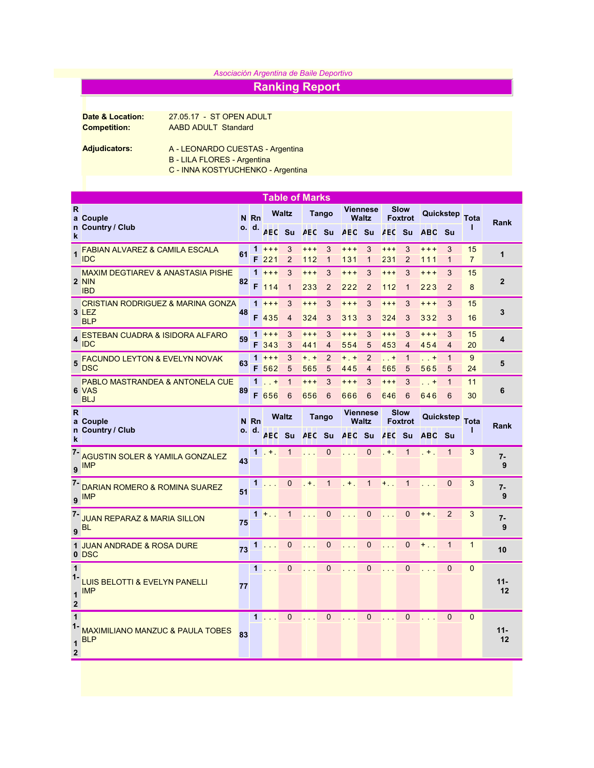## *Asociación Argentina de Baile Deportivo*

## Ranking Report

Date & Location: 27.05.17 - ST OPEN ADULT Competition: AABD ADULT Standard

Adjudicators: A - LEONARDO CUESTAS - Argentina

- B LILA FLORES Argentina
- C INNA KOSTYUCHENKO Argentina

| <b>Table of Marks</b>                     |                                                                     |    |                      |                                     |                     |                  |                                 |                                 |                               |                               |                     |                   |                     |                      |                |
|-------------------------------------------|---------------------------------------------------------------------|----|----------------------|-------------------------------------|---------------------|------------------|---------------------------------|---------------------------------|-------------------------------|-------------------------------|---------------------|-------------------|---------------------|----------------------|----------------|
| $\mathsf{R}$                              | a Couple<br>n Country / Club                                        |    | N Rn<br>o. d.        | <b>Waltz</b>                        |                     | <b>Tango</b>     |                                 | <b>Viennese</b><br><b>Waltz</b> |                               | <b>Slow</b><br><b>Foxtrot</b> |                     | Quickstep         |                     | <b>Tota</b>          | Rank           |
| k                                         |                                                                     |    |                      | <b>AEC</b>                          | <b>Su</b>           | AEC Su           |                                 | <b>AEC</b>                      | <b>Su</b>                     | <b>AEC</b> Su                 |                     | <b>ABC</b>        | – Su                |                      |                |
| 1                                         | <b>FABIAN ALVAREZ &amp; CAMILA ESCALA</b><br><b>IDC</b>             | 61 |                      | $1 + + +$<br>F <sub>221</sub>       | 3<br>$\overline{2}$ | $+ + +$<br>112   | 3<br>$\mathbf{1}$               | $***$<br>131                    | 3<br>$\mathbf{1}$             | $***$<br>231                  | 3<br>$\overline{2}$ | $+++$<br>111      | 3<br>$\mathbf{1}$   | 15<br>$\overline{7}$ | 1              |
|                                           | <b>MAXIM DEGTIAREV &amp; ANASTASIA PISHE</b><br>2 NIN<br><b>IBD</b> | 82 |                      | $1 + + +$<br>F 114                  | 3<br>$\mathbf{1}$   | $***$<br>233     | 3<br>$\overline{2}$             | $***$<br>222                    | 3<br>$\overline{2}$           | $***$<br>112                  | 3<br>$\mathbf{1}$   | $+ + +$<br>223    | 3<br>$\overline{2}$ | 15<br>8              | $\overline{2}$ |
|                                           | <b>CRISTIAN RODRIGUEZ &amp; MARINA GONZA</b><br>3 LEZ<br><b>BLP</b> | 48 |                      | $1 + + +$<br>F 435                  | 3<br>$\overline{4}$ | $***$<br>324     | 3<br>3                          | $***$<br>313                    | 3<br>3                        | $+ + +$<br>324                | 3<br>3              | $+ + +$<br>332    | 3<br>3              | 15<br>16             | 3              |
|                                           | ESTEBAN CUADRA & ISIDORA ALFARO<br><b>IDC</b>                       | 59 | F                    | $1 + + +$<br>343                    | 3<br>3              | $***$<br>441     | 3<br>4                          | $***$<br>554                    | 3<br>5                        | $+ + +$<br>453                | 3<br>$\overline{4}$ | $+ + +$<br>454    | 3<br>4              | 15<br>20             | 4              |
|                                           | <b>FACUNDO LEYTON &amp; EVELYN NOVAK</b><br><b>DSC</b>              | 63 | 1                    | $+ + +$<br>F 562                    | 3<br>5              | $+$ , $+$<br>565 | $\overline{2}$<br>5             | $+$ . $+$<br>445                | $\overline{2}$<br>4           | $\dots$ +<br>565              | $\mathbf{1}$<br>5   | $\cdot$ +<br>565  | $\mathbf{1}$<br>5   | 9<br>24              | 5              |
|                                           | <b>PABLO MASTRANDEA &amp; ANTONELA CUE</b><br>6 VAS<br><b>BLJ</b>   | 89 | 1                    | $\left  \cdot \right $ . +<br>F 656 | $\mathbf{1}$<br>6   | $+ + +$<br>656   | 3<br>6                          | $+ + +$<br>666                  | 3<br>6                        | $+ + +$<br>646                | 3<br>6              | $\ldots$ +<br>646 | $\mathbf{1}$<br>6   | 11<br>30             | 6              |
| $\mathsf{R}$                              | a Couple<br>n Country / Club                                        |    | <b>Waltz</b><br>N Rn |                                     | <b>Tango</b>        |                  | <b>Viennese</b><br><b>Waltz</b> |                                 | <b>Slow</b><br><b>Foxtrot</b> |                               | Quickstep           |                   | <b>Tota</b>         | Rank                 |                |
| k                                         |                                                                     |    | o. d.                | <b>AEC</b>                          | <b>Su</b>           | <b>AEC</b> Su    |                                 | <b>AEC</b>                      | <b>Su</b>                     | <b>AEC</b>                    | <b>Su</b>           | <b>ABC</b>        | .Su                 | ı                    |                |
| $\overline{7}$<br>9                       | <b>AGUSTIN SOLER &amp; YAMILA GONZALEZ</b><br><b>IMP</b>            | 43 |                      | $1. + .$                            | $\mathbf{1}$        |                  | $\overline{0}$                  |                                 | $\mathbf{0}$                  | $+$ .                         | $\mathbf{1}$        | $+$ .             | $\mathbf{1}$        | 3                    | $7 -$<br>9     |
| $7 -$<br>9                                | <b>DARIAN ROMERO &amp; ROMINA SUAREZ</b><br><b>IMP</b>              | 51 | $\mathbf{1}$         | <b>Contract</b>                     | $\Omega$            | $+$              | $\mathbf{1}$                    | $+$                             | $\mathbf{1}$                  | $+$ .                         | $\mathbf{1}$        |                   | $\mathbf{0}$        | 3                    | $7 -$<br>9     |
| $7 -$<br>9                                | <b>JUAN REPARAZ &amp; MARIA SILLON</b><br><b>BL</b>                 | 75 |                      | $1 + $                              | $\mathbf{1}$        |                  | $\Omega$                        | $\sim 10$                       | $\Omega$                      | $\sim 10^{-1}$                | $\Omega$            | $+ +$             | 2                   | 3                    | $7 -$<br>9     |
|                                           | 1 JUAN ANDRADE & ROSA DURE<br>0 DSC                                 | 73 | 1                    |                                     | $\mathbf{0}$        |                  | $\mathbf{0}$                    |                                 | $\mathbf{0}$                  | $\sim 10$                     | $\overline{0}$      | $+$ .             | $\mathbf{1}$        | $\mathbf{1}$         | 10             |
| $\mathbf{1}$<br>$1 -$<br>1<br>$\mathbf 2$ | <b>LUIS BELOTTI &amp; EVELYN PANELLI</b><br><b>IMP</b>              | 77 |                      | $1$                                 | $\Omega$            |                  | $\mathbf{0}$                    | $\sim$ $\sim$                   | $\mathbf{0}$                  | $\sim 100$                    | $\Omega$            |                   | $\Omega$            | $\Omega$             | $11 -$<br>12   |
| $\mathbf{1}$<br>$1 -$<br>1                | <b>MAXIMILIANO MANZUC &amp; PAULA TOBES</b><br><b>BLP</b>           | 83 |                      | $1$ . $\sim$                        | $\overline{0}$      | $\sim$ $\sim$    | $\Omega$                        | $\sim 10^{-1}$                  | $\overline{0}$                | $\sim 10^{-1}$                | $\Omega$            | $\sim 100$        | $\Omega$            | $\overline{0}$       | $11 -$<br>12   |